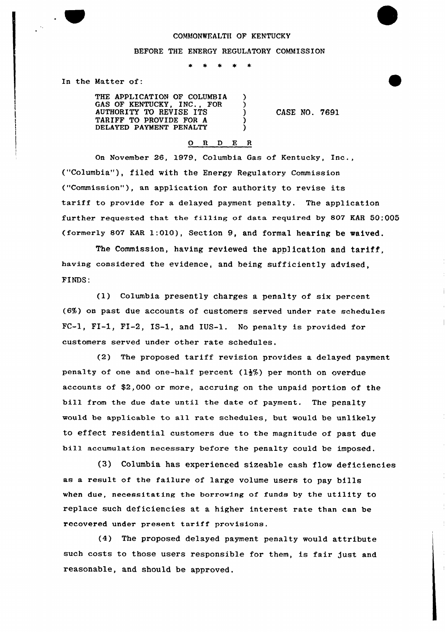## COMMONWEALTH OF KENTUCKY

## BEFORE THE ENERGY REGULATORY COMMISSION

€  $\lambda$  $\lambda$ ◝

 $\rightarrow$  $\rightarrow$ 

In the Mattex of:

THE APPLICATION OF COLUMBIA GAS OF KENTUCKY, INC., FOR AUTHORITY TO REVISE ITS TARIFF TO PROVIDE FOR A DELAYED PAYMENT PENALTY

CASE NO. 7691

## 0 <sup>R</sup> <sup>D</sup> <sup>E</sup> <sup>R</sup>

On November 26, 1979, Columbia Gas of Kentucky, Inc., ("Columbia"}, filed with the Energy Regulatory Commission ("Commission"), an application for authority to revise its tariff to provide for a delayed payment penalty. The application further requested that the fi11ing of data required by 807 KAR 50:005 (formerly 807 EAR 1:010), Section 9, and formal hearing be waived.

The Commission, having reviewed the application and tariff, having considered the evidence, and heing sufficiently advised, FINDS:

(1) Columbia presently charges a penalty of six percent (6%) on past due accounts of customers sexved under rate schedules FC-l, FI-1, FI-2, IS-1, and IUS-1. No penalty is provided for customers served under other rate schedules.

(2) The proposed tariff revision provides a delayed payment penalty of one and one-half percent  $(1\frac{1}{2})$  per month on overdue accounts of \$2,000 or more, accruing on the unpaid portion of the bill from the due date until the date of payment. The penalty would be applicable to a11 rate schedules, but would be unlikely to effect residential customers due to the magnitude of past due bill accumulation necessary before the penalty could be imposed.

(3} Columbia has experienced sizeable cash flow deficiencies as a result of the failure of large volume users to pay bills when due, necessitating the borrowing of funds by the utility to replace such deficiencies at a higher interest rate than can be recovered under present tariff provisions.

(4) The proposed delayed payment penalty would attribute such costs to those users responsible for them, is fair just and reasonable, and should be approved.